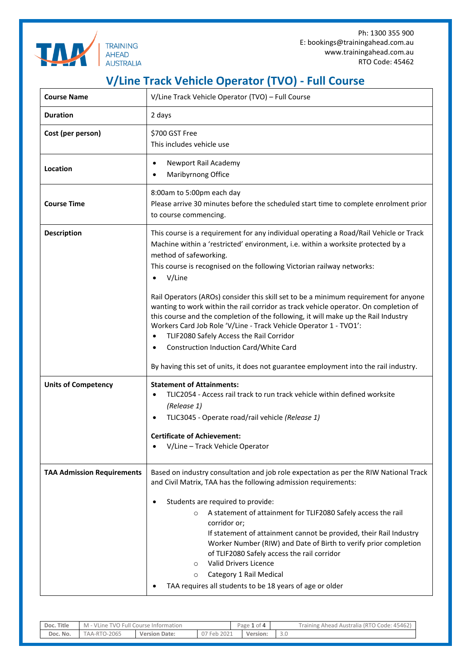

Ph: 1300 355 900 E: bookings@trainingahead.com.au www.trainingahead.com.au RTO Code: 45462

## **V/Line Track Vehicle Operator (TVO) - Full Course**

| <b>Course Name</b>                | V/Line Track Vehicle Operator (TVO) - Full Course                                                                                                                                                                                                                                                                                                                                                                                                                                                                                                                                                                                    |  |  |  |  |  |  |
|-----------------------------------|--------------------------------------------------------------------------------------------------------------------------------------------------------------------------------------------------------------------------------------------------------------------------------------------------------------------------------------------------------------------------------------------------------------------------------------------------------------------------------------------------------------------------------------------------------------------------------------------------------------------------------------|--|--|--|--|--|--|
| <b>Duration</b>                   | 2 days                                                                                                                                                                                                                                                                                                                                                                                                                                                                                                                                                                                                                               |  |  |  |  |  |  |
| Cost (per person)                 | \$700 GST Free<br>This includes vehicle use                                                                                                                                                                                                                                                                                                                                                                                                                                                                                                                                                                                          |  |  |  |  |  |  |
| Location                          | Newport Rail Academy<br>٠<br>Maribyrnong Office<br>$\bullet$                                                                                                                                                                                                                                                                                                                                                                                                                                                                                                                                                                         |  |  |  |  |  |  |
| <b>Course Time</b>                | 8:00am to 5:00pm each day<br>Please arrive 30 minutes before the scheduled start time to complete enrolment prior<br>to course commencing.                                                                                                                                                                                                                                                                                                                                                                                                                                                                                           |  |  |  |  |  |  |
| <b>Description</b>                | This course is a requirement for any individual operating a Road/Rail Vehicle or Track<br>Machine within a 'restricted' environment, i.e. within a worksite protected by a<br>method of safeworking.<br>This course is recognised on the following Victorian railway networks:<br>V/Line<br>$\bullet$                                                                                                                                                                                                                                                                                                                                |  |  |  |  |  |  |
|                                   | Rail Operators (AROs) consider this skill set to be a minimum requirement for anyone<br>wanting to work within the rail corridor as track vehicle operator. On completion of<br>this course and the completion of the following, it will make up the Rail Industry<br>Workers Card Job Role 'V/Line - Track Vehicle Operator 1 - TVO1':<br>TLIF2080 Safely Access the Rail Corridor<br>$\bullet$<br>Construction Induction Card/White Card                                                                                                                                                                                           |  |  |  |  |  |  |
|                                   | By having this set of units, it does not guarantee employment into the rail industry.                                                                                                                                                                                                                                                                                                                                                                                                                                                                                                                                                |  |  |  |  |  |  |
| <b>Units of Competency</b>        | <b>Statement of Attainments:</b><br>TLIC2054 - Access rail track to run track vehicle within defined worksite<br>(Release 1)<br>TLIC3045 - Operate road/rail vehicle (Release 1)<br><b>Certificate of Achievement:</b><br>V/Line - Track Vehicle Operator                                                                                                                                                                                                                                                                                                                                                                            |  |  |  |  |  |  |
| <b>TAA Admission Requirements</b> | Based on industry consultation and job role expectation as per the RIW National Track<br>and Civil Matrix, TAA has the following admission requirements:<br>Students are required to provide:<br>٠<br>A statement of attainment for TLIF2080 Safely access the rail<br>$\circ$<br>corridor or;<br>If statement of attainment cannot be provided, their Rail Industry<br>Worker Number (RIW) and Date of Birth to verify prior completion<br>of TLIF2080 Safely access the rail corridor<br><b>Valid Drivers Licence</b><br>$\circ$<br>Category 1 Rail Medical<br>$\circ$<br>TAA requires all students to be 18 years of age or older |  |  |  |  |  |  |

| Doc. Title | <b>Full Course Information</b><br>VLine<br><b>TVO</b><br>M |                      | $\cap$ † $\Delta$<br>age<br>$U$ $+$ |  | 45462<br>$\sqrt{RTC}$<br><b>Training</b><br>Australia<br>Code:<br>Ahead<br>◡ |     |
|------------|------------------------------------------------------------|----------------------|-------------------------------------|--|------------------------------------------------------------------------------|-----|
| Doc. No.   | $7 - 2065$<br>$A^A - R^T$                                  | <b>Version Date:</b> | 2021<br>$F \triangle A$<br>07       |  | Version:                                                                     | 5.U |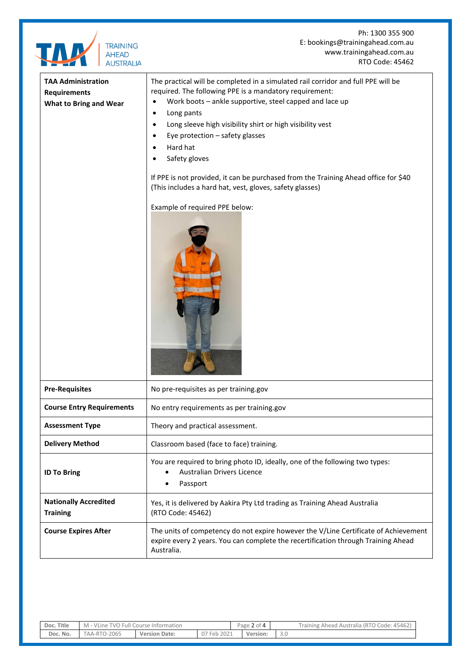

| <b>Course Entry Requirements</b>                | No entry requirements as per training.gov                                                                                                                                              |  |  |  |
|-------------------------------------------------|----------------------------------------------------------------------------------------------------------------------------------------------------------------------------------------|--|--|--|
| <b>Assessment Type</b>                          | Theory and practical assessment.                                                                                                                                                       |  |  |  |
| <b>Delivery Method</b>                          | Classroom based (face to face) training.                                                                                                                                               |  |  |  |
| <b>ID To Bring</b>                              | You are required to bring photo ID, ideally, one of the following two types:<br>Australian Drivers Licence<br>Passport<br>٠                                                            |  |  |  |
| <b>Nationally Accredited</b><br><b>Training</b> | Yes, it is delivered by Aakira Pty Ltd trading as Training Ahead Australia<br>(RTO Code: 45462)                                                                                        |  |  |  |
| <b>Course Expires After</b>                     | The units of competency do not expire however the V/Line Certificate of Achievement<br>expire every 2 years. You can complete the recertification through Training Ahead<br>Australia. |  |  |  |

**Doc. Title** M - VLine TVO Full Course Information Page 2 of 4 Training Ahead Australia (RTO Code: 45462)  **Doc. No.** TAA-RTO-2065 **Version Date:** 07 Feb 2021 **Version:** 3.0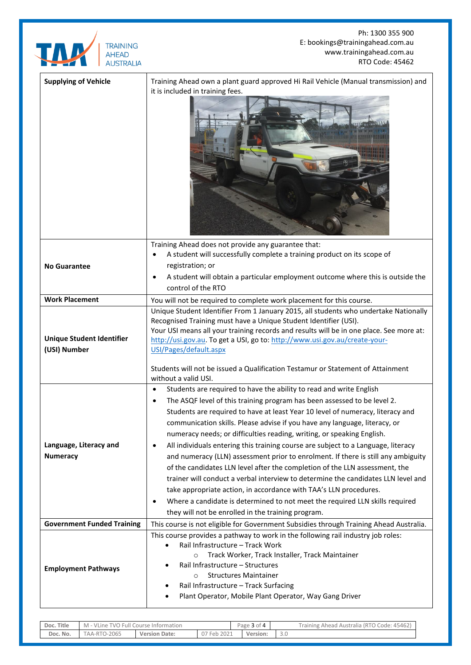

Ph: 1300 355 900 E: bookings@trainingahead.com.au www.trainingahead.com.au RTO Code: 45462

| <b>Supplying of Vehicle</b>                      | Training Ahead own a plant guard approved Hi Rail Vehicle (Manual transmission) and<br>it is included in training fees.                                                                                                                                                                                                                                                                                                                                                                                                                                                                                                                                                                                                                                                                                                                                                                                                                                                           |
|--------------------------------------------------|-----------------------------------------------------------------------------------------------------------------------------------------------------------------------------------------------------------------------------------------------------------------------------------------------------------------------------------------------------------------------------------------------------------------------------------------------------------------------------------------------------------------------------------------------------------------------------------------------------------------------------------------------------------------------------------------------------------------------------------------------------------------------------------------------------------------------------------------------------------------------------------------------------------------------------------------------------------------------------------|
| <b>No Guarantee</b>                              | Training Ahead does not provide any guarantee that:<br>A student will successfully complete a training product on its scope of<br>registration; or<br>A student will obtain a particular employment outcome where this is outside the<br>control of the RTO                                                                                                                                                                                                                                                                                                                                                                                                                                                                                                                                                                                                                                                                                                                       |
| <b>Work Placement</b>                            | You will not be required to complete work placement for this course.                                                                                                                                                                                                                                                                                                                                                                                                                                                                                                                                                                                                                                                                                                                                                                                                                                                                                                              |
| <b>Unique Student Identifier</b><br>(USI) Number | Unique Student Identifier From 1 January 2015, all students who undertake Nationally<br>Recognised Training must have a Unique Student Identifier (USI).<br>Your USI means all your training records and results will be in one place. See more at:<br>http://usi.gov.au. To get a USI, go to: http://www.usi.gov.au/create-your-<br>USI/Pages/default.aspx<br>Students will not be issued a Qualification Testamur or Statement of Attainment<br>without a valid USI.                                                                                                                                                                                                                                                                                                                                                                                                                                                                                                            |
| Language, Literacy and<br><b>Numeracy</b>        | Students are required to have the ability to read and write English<br>$\bullet$<br>The ASQF level of this training program has been assessed to be level 2.<br>Students are required to have at least Year 10 level of numeracy, literacy and<br>communication skills. Please advise if you have any language, literacy, or<br>numeracy needs; or difficulties reading, writing, or speaking English.<br>All individuals entering this training course are subject to a Language, literacy<br>$\bullet$<br>and numeracy (LLN) assessment prior to enrolment. If there is still any ambiguity<br>of the candidates LLN level after the completion of the LLN assessment, the<br>trainer will conduct a verbal interview to determine the candidates LLN level and<br>take appropriate action, in accordance with TAA's LLN procedures.<br>Where a candidate is determined to not meet the required LLN skills required<br>٠<br>they will not be enrolled in the training program. |
| <b>Government Funded Training</b>                | This course is not eligible for Government Subsidies through Training Ahead Australia.                                                                                                                                                                                                                                                                                                                                                                                                                                                                                                                                                                                                                                                                                                                                                                                                                                                                                            |
| <b>Employment Pathways</b>                       | This course provides a pathway to work in the following rail industry job roles:<br>Rail Infrastructure - Track Work<br>$\bullet$<br>Track Worker, Track Installer, Track Maintainer<br>$\circ$<br>Rail Infrastructure - Structures<br><b>Structures Maintainer</b><br>$\circ$<br>Rail Infrastructure - Track Surfacing<br>Plant Operator, Mobile Plant Operator, Way Gang Driver                                                                                                                                                                                                                                                                                                                                                                                                                                                                                                                                                                                                 |

| Doc. Title | M - VLine TVO Full Course Information |                      |             | Page 3 of 4 | Training Ahead Australia (RTO Code: 45462) |
|------------|---------------------------------------|----------------------|-------------|-------------|--------------------------------------------|
| Doc. No.   | TAA-RTO-2065                          | <b>Version Date:</b> | 2021<br>Feb | Version:    |                                            |